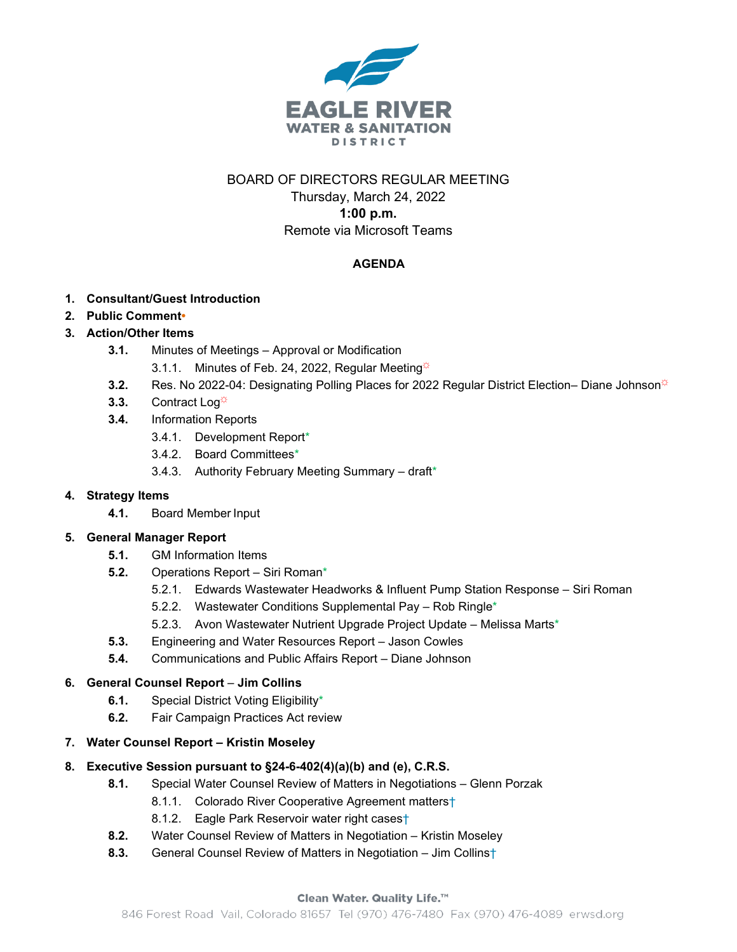

# BOARD OF DIRECTORS REGULAR MEETING

Thursday, March 24, 2022 **1:00 p.m.** Remote via Microsoft Teams

### **AGENDA**

- **1. Consultant/Guest Introduction**
- **2. Public Comment•**
- **3. Action/Other Items**
	- **3.1.** Minutes of Meetings Approval or Modification
		- 3.1.1. Minutes of Feb. 24, 2022, Regular Meeting $\ddot{\varphi}$
	- **3.2.** Res. No 2022-04: Designating Polling Places for 2022 Regular District Election– Diane Johnson<sup>\*</sup>
	- 3.3. Contract Log<sup> $\ddot{\phi}$ </sup>
	- **3.4.** Information Reports
		- 3.4.1. Development Report\*
		- 3.4.2. Board Committees\*
		- 3.4.3. Authority February Meeting Summary draft\*

### **4. Strategy Items**

**4.1.** Board Member Input

### **5. General Manager Report**

- **5.1.** GM Information Items
- **5.2.** Operations Report Siri Roman\*
	- 5.2.1. Edwards Wastewater Headworks & Influent Pump Station Response Siri Roman
	- 5.2.2. Wastewater Conditions Supplemental Pay Rob Ringle\*
	- 5.2.3. Avon Wastewater Nutrient Upgrade Project Update Melissa Marts\*
- **5.3.** Engineering and Water Resources Report Jason Cowles
- **5.4.** Communications and Public Affairs Report Diane Johnson

### **6. General Counsel Report** – **Jim Collins**

- **6.1.** Special District Voting Eligibility\*
- **6.2.** Fair Campaign Practices Act review
- **7. Water Counsel Report – Kristin Moseley**

# **8. Executive Session pursuant to §24-6-402(4)(a)(b) and (e), C.R.S.**

- **8.1.** Special Water Counsel Review of Matters in Negotiations Glenn Porzak
	- 8.1.1. Colorado River Cooperative Agreement matters<sup>+</sup>
	- 8.1.2. Eagle Park Reservoir water right cases†
- **8.2.** Water Counsel Review of Matters in Negotiation Kristin Moseley
- **8.3.** General Counsel Review of Matters in Negotiation Jim Collins†

### Clean Water. Quality Life.™